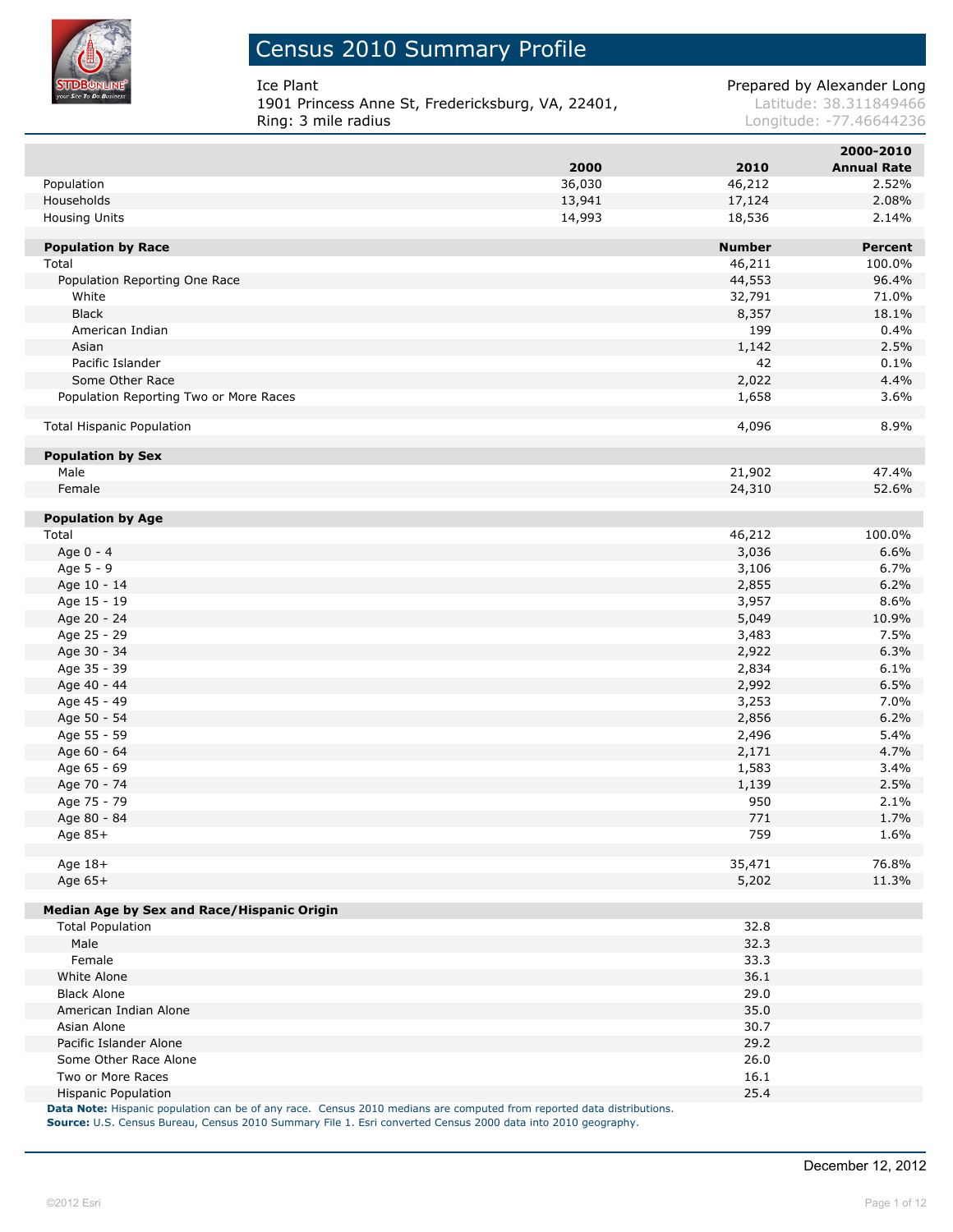

I

I

### Census 2010 Summary Profile

**1901 Princess Anne St, Fredericksburg, VA, 22401, Latitude: 38.311849466**<br>Ring: 3 mile radius **Ring: 3 mile radius** 

Ice Plant **Prepared by Alexander Long** 

Longitude: -77.46644236

|                                            |        |               | 2000-2010          |
|--------------------------------------------|--------|---------------|--------------------|
|                                            | 2000   | 2010          | <b>Annual Rate</b> |
| Population                                 | 36,030 | 46,212        | 2.52%              |
| Households                                 | 13,941 | 17,124        | 2.08%              |
| Housing Units                              | 14,993 | 18,536        | 2.14%              |
|                                            |        |               |                    |
| <b>Population by Race</b>                  |        | <b>Number</b> | <b>Percent</b>     |
| Total                                      |        | 46,211        | 100.0%             |
| Population Reporting One Race              |        | 44,553        | 96.4%              |
| White                                      |        | 32,791        | 71.0%              |
| <b>Black</b>                               |        | 8,357         | 18.1%              |
| American Indian                            |        | 199           | 0.4%               |
| Asian                                      |        | 1,142         | 2.5%               |
| Pacific Islander                           |        | 42            | 0.1%               |
| Some Other Race                            |        | 2,022         | 4.4%               |
| Population Reporting Two or More Races     |        | 1,658         | 3.6%               |
| <b>Total Hispanic Population</b>           |        | 4,096         | 8.9%               |
|                                            |        |               |                    |
| <b>Population by Sex</b>                   |        |               |                    |
| Male                                       |        | 21,902        | 47.4%              |
| Female                                     |        | 24,310        | 52.6%              |
| <b>Population by Age</b>                   |        |               |                    |
| Total                                      |        | 46,212        | 100.0%             |
| Age 0 - 4                                  |        | 3,036         | 6.6%               |
| Age 5 - 9                                  |        | 3,106         | 6.7%               |
| Age 10 - 14                                |        | 2,855         | 6.2%               |
| Age 15 - 19                                |        | 3,957         | 8.6%               |
| Age 20 - 24                                |        | 5,049         | 10.9%              |
| Age 25 - 29                                |        | 3,483         | 7.5%               |
| Age 30 - 34                                |        | 2,922         | 6.3%               |
| Age 35 - 39                                |        | 2,834         | 6.1%               |
| Age 40 - 44                                |        | 2,992         | 6.5%               |
| Age 45 - 49                                |        | 3,253         | 7.0%               |
|                                            |        |               | 6.2%               |
| Age 50 - 54                                |        | 2,856         |                    |
| Age 55 - 59                                |        | 2,496         | 5.4%               |
| Age 60 - 64                                |        | 2,171         | 4.7%               |
| Age 65 - 69                                |        | 1,583         | 3.4%               |
| Age 70 - 74                                |        | 1,139         | 2.5%               |
| Age 75 - 79                                |        | 950           | 2.1%               |
| Age 80 - 84                                |        | 771           | 1.7%               |
| Age 85+                                    |        | 759           | 1.6%               |
| Age 18+                                    |        | 35,471        | 76.8%              |
| Age 65+                                    |        | 5,202         | 11.3%              |
| Median Age by Sex and Race/Hispanic Origin |        |               |                    |
| <b>Total Population</b>                    |        | 32.8          |                    |
| Male                                       |        | 32.3          |                    |
| Female                                     |        | 33.3          |                    |
| White Alone                                |        | 36.1          |                    |
| <b>Black Alone</b>                         |        | 29.0          |                    |
| American Indian Alone                      |        | 35.0          |                    |
| Asian Alone                                |        | 30.7          |                    |
| Pacific Islander Alone                     |        | 29.2          |                    |
| Some Other Race Alone                      |        | 26.0          |                    |
| Two or More Races                          |        | 16.1          |                    |
| <b>Hispanic Population</b>                 |        | 25.4          |                    |
|                                            |        |               |                    |

**Data Note:** Hispanic population can be of any race. Census 2010 medians are computed from reported data distributions. **Source:** U.S. Census Bureau, Census 2010 Summary File 1. Esri converted Census 2000 data into 2010 geography.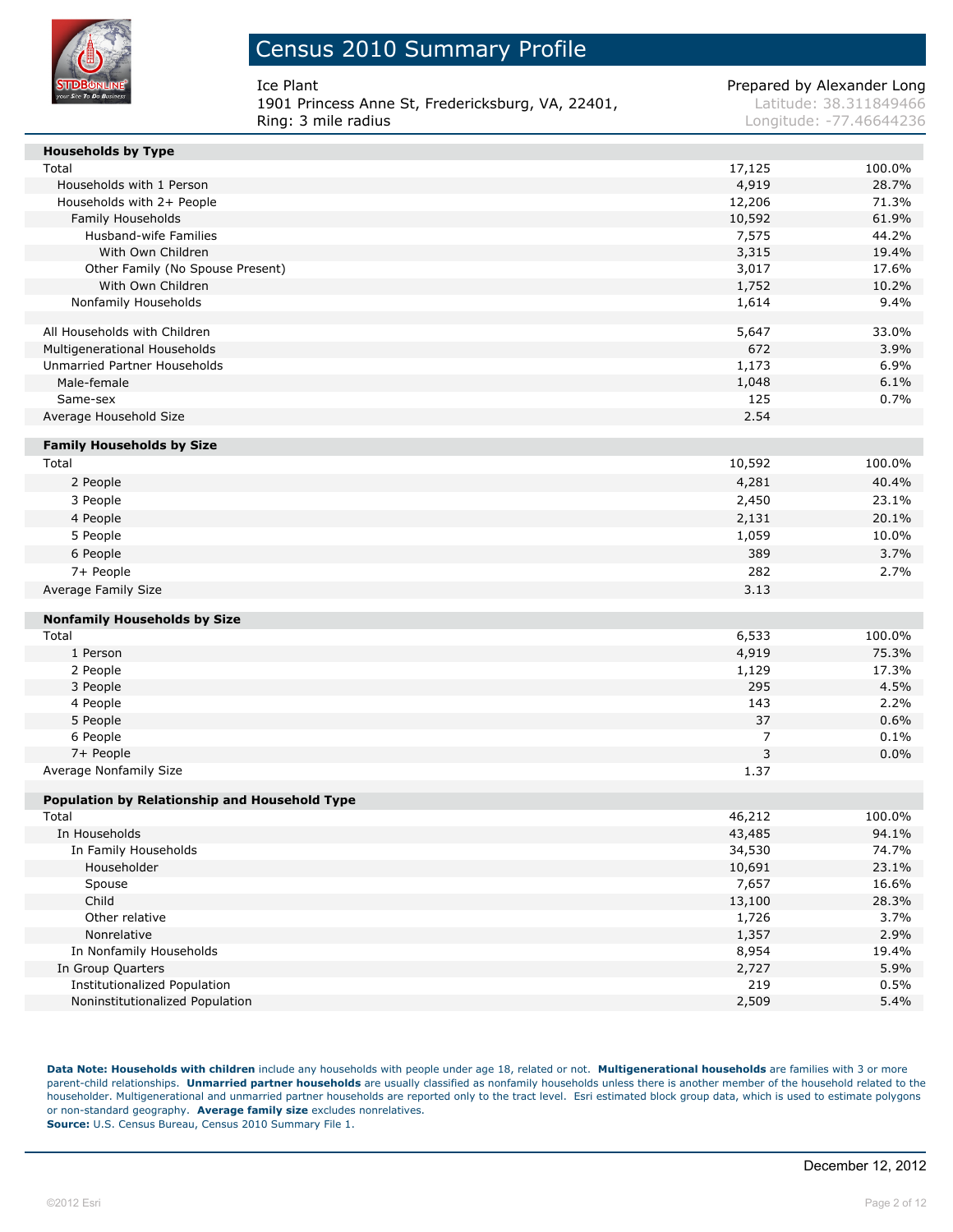

| lce Plant                                         | Prepared by Alexander Long |
|---------------------------------------------------|----------------------------|
| 1901 Princess Anne St, Fredericksburg, VA, 22401, | Latitude: 38.311849466     |
| Rina: 3 mile radius                               | Longitude: -77.46644236    |

| <b>Households by Type</b>                     |        |        |
|-----------------------------------------------|--------|--------|
| Total                                         | 17,125 | 100.0% |
| Households with 1 Person                      | 4,919  | 28.7%  |
| Households with 2+ People                     | 12,206 | 71.3%  |
| Family Households                             | 10,592 | 61.9%  |
| Husband-wife Families                         | 7,575  | 44.2%  |
| With Own Children                             | 3,315  | 19.4%  |
| Other Family (No Spouse Present)              | 3,017  | 17.6%  |
| With Own Children                             | 1,752  | 10.2%  |
| Nonfamily Households                          | 1,614  | 9.4%   |
| All Households with Children                  | 5,647  | 33.0%  |
| Multigenerational Households                  | 672    | 3.9%   |
| Unmarried Partner Households                  | 1,173  | 6.9%   |
| Male-female                                   | 1,048  | 6.1%   |
| Same-sex                                      | 125    | 0.7%   |
| Average Household Size                        | 2.54   |        |
| <b>Family Households by Size</b>              |        |        |
| Total                                         | 10,592 | 100.0% |
| 2 People                                      | 4,281  | 40.4%  |
| 3 People                                      | 2,450  | 23.1%  |
| 4 People                                      | 2,131  | 20.1%  |
| 5 People                                      | 1,059  | 10.0%  |
| 6 People                                      | 389    | 3.7%   |
| 7+ People                                     | 282    | 2.7%   |
| Average Family Size                           | 3.13   |        |
| <b>Nonfamily Households by Size</b>           |        |        |
| Total                                         | 6,533  | 100.0% |
| 1 Person                                      | 4,919  | 75.3%  |
| 2 People                                      | 1,129  | 17.3%  |
| 3 People                                      | 295    | 4.5%   |
| 4 People                                      | 143    | 2.2%   |
| 5 People                                      | 37     | 0.6%   |
| 6 People                                      | 7      | 0.1%   |
| 7+ People                                     | 3      | 0.0%   |
| Average Nonfamily Size                        | 1.37   |        |
| Population by Relationship and Household Type |        |        |
| Total                                         | 46,212 | 100.0% |
| In Households                                 | 43,485 | 94.1%  |
| In Family Households                          | 34,530 | 74.7%  |
| Householder                                   | 10,691 | 23.1%  |
| Spouse                                        | 7,657  | 16.6%  |
| Child                                         | 13,100 | 28.3%  |
| Other relative                                | 1,726  | 3.7%   |
| Nonrelative                                   | 1,357  | 2.9%   |
| In Nonfamily Households                       | 8,954  | 19.4%  |
| In Group Quarters                             | 2,727  | 5.9%   |
| <b>Institutionalized Population</b>           | 219    | 0.5%   |
| Noninstitutionalized Population               | 2,509  | 5.4%   |

**Data Note: Households with children** include any households with people under age 18, related or not. **Multigenerational households** are families with 3 or more parent-child relationships. **Unmarried partner households** are usually classified as nonfamily households unless there is another member of the household related to the householder. Multigenerational and unmarried partner households are reported only to the tract level. Esri estimated block group data, which is used to estimate polygons or non-standard geography. **Average family size** excludes nonrelatives. **Source:** U.S. Census Bureau, Census 2010 Summary File 1.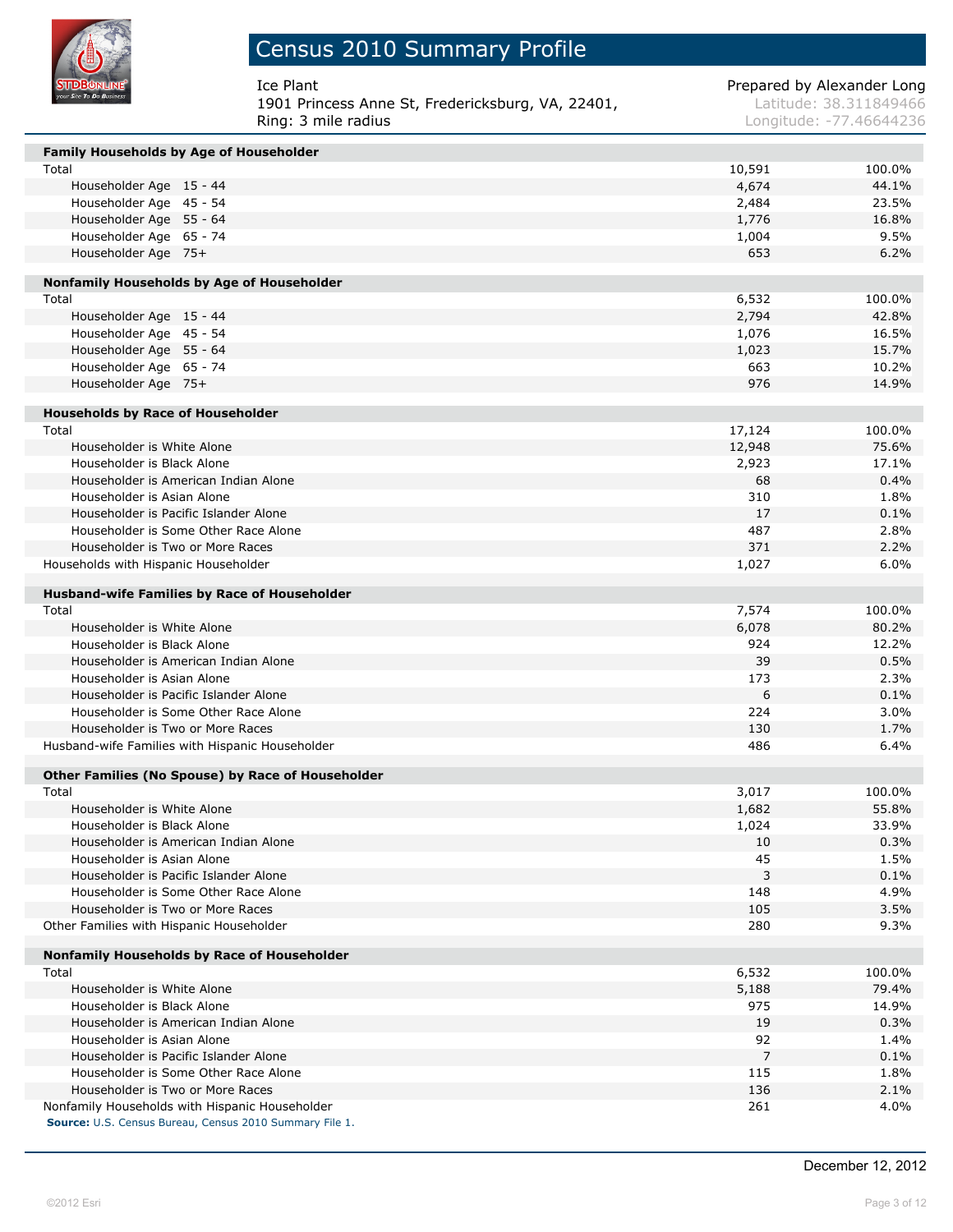

## Census 2010 Summary Profile

| Ice Plant                                         | Prepared by Alexander Long |
|---------------------------------------------------|----------------------------|
| 1901 Princess Anne St, Fredericksburg, VA, 22401, | Latitude: 38.311849466     |
| Ring: 3 mile radius                               | Longitude: -77.46644236    |

| <b>Family Households by Age of Householder</b>          |        |        |
|---------------------------------------------------------|--------|--------|
| Total                                                   | 10,591 | 100.0% |
| Householder Age 15 - 44                                 | 4,674  | 44.1%  |
| Householder Age 45 - 54                                 | 2,484  | 23.5%  |
| Householder Age 55 - 64                                 | 1,776  | 16.8%  |
| Householder Age 65 - 74                                 | 1,004  | 9.5%   |
| Householder Age 75+                                     | 653    | 6.2%   |
| Nonfamily Households by Age of Householder              |        |        |
| Total                                                   | 6,532  | 100.0% |
| Householder Age 15 - 44                                 | 2,794  | 42.8%  |
| Householder Age 45 - 54                                 | 1,076  | 16.5%  |
| Householder Age 55 - 64                                 | 1,023  | 15.7%  |
| Householder Age 65 - 74                                 | 663    | 10.2%  |
| Householder Age 75+                                     | 976    | 14.9%  |
|                                                         |        |        |
| <b>Households by Race of Householder</b>                |        |        |
| Total                                                   | 17,124 | 100.0% |
| Householder is White Alone                              | 12,948 | 75.6%  |
| Householder is Black Alone                              | 2,923  | 17.1%  |
| Householder is American Indian Alone                    | 68     | 0.4%   |
| Householder is Asian Alone                              | 310    | 1.8%   |
| Householder is Pacific Islander Alone                   | 17     | 0.1%   |
| Householder is Some Other Race Alone                    | 487    | 2.8%   |
| Householder is Two or More Races                        | 371    | 2.2%   |
| Households with Hispanic Householder                    | 1,027  | 6.0%   |
| <b>Husband-wife Families by Race of Householder</b>     |        |        |
| Total                                                   | 7,574  | 100.0% |
| Householder is White Alone                              | 6,078  | 80.2%  |
| Householder is Black Alone                              | 924    | 12.2%  |
| Householder is American Indian Alone                    | 39     | 0.5%   |
| Householder is Asian Alone                              | 173    | 2.3%   |
| Householder is Pacific Islander Alone                   | 6      | 0.1%   |
| Householder is Some Other Race Alone                    | 224    | 3.0%   |
| Householder is Two or More Races                        | 130    | 1.7%   |
| Husband-wife Families with Hispanic Householder         | 486    | 6.4%   |
| Other Families (No Spouse) by Race of Householder       |        |        |
| Total                                                   | 3,017  | 100.0% |
| Householder is White Alone                              | 1,682  | 55.8%  |
| Householder is Black Alone                              | 1,024  | 33.9%  |
| Householder is American Indian Alone                    | 10     | 0.3%   |
| Householder is Asian Alone                              | 45     | 1.5%   |
| Householder is Pacific Islander Alone                   | 3      | 0.1%   |
| Householder is Some Other Race Alone                    | 148    | 4.9%   |
| Householder is Two or More Races                        | 105    | 3.5%   |
| Other Families with Hispanic Householder                | 280    | 9.3%   |
|                                                         |        |        |
| Nonfamily Households by Race of Householder             |        |        |
| Total                                                   | 6,532  | 100.0% |
| Householder is White Alone                              | 5,188  | 79.4%  |
| Householder is Black Alone                              | 975    | 14.9%  |
| Householder is American Indian Alone                    | 19     | 0.3%   |
| Householder is Asian Alone                              | 92     | 1.4%   |
| Householder is Pacific Islander Alone                   | 7      | 0.1%   |
| Householder is Some Other Race Alone                    | 115    | 1.8%   |
| Householder is Two or More Races                        | 136    | 2.1%   |
| Nonfamily Households with Hispanic Householder          | 261    | 4.0%   |
| Source: U.S. Census Bureau, Census 2010 Summary File 1. |        |        |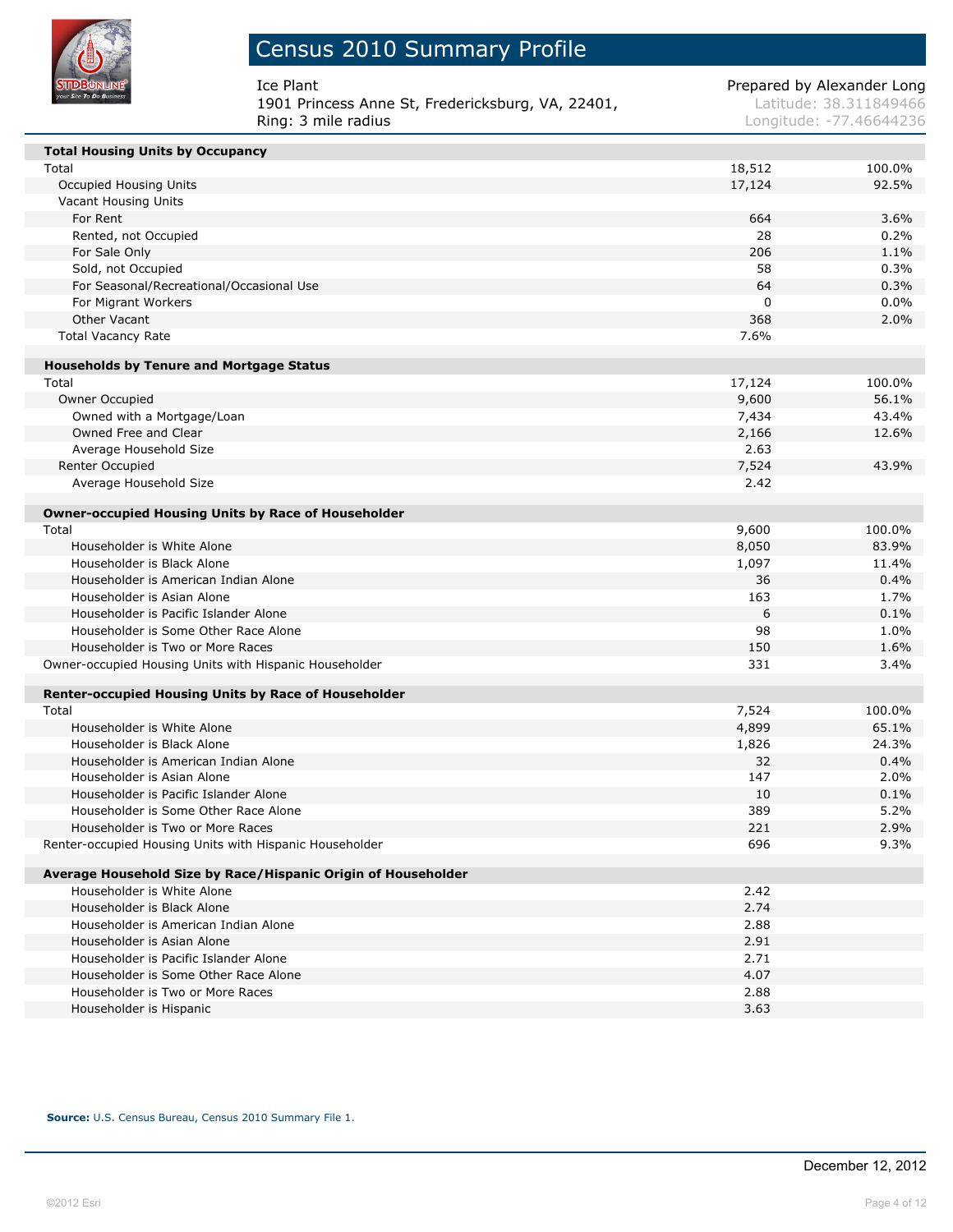

| Ice Plant                                         | Prepared by Alexander Long |
|---------------------------------------------------|----------------------------|
| 1901 Princess Anne St, Fredericksburg, VA, 22401, | Latitude: 38.311849466     |
| Ring: 3 mile radius                               | Longitude: -77.46644236    |

| <b>Total Housing Units by Occupancy</b>                       |        |        |
|---------------------------------------------------------------|--------|--------|
| Total                                                         | 18,512 | 100.0% |
| <b>Occupied Housing Units</b>                                 | 17,124 | 92.5%  |
| Vacant Housing Units                                          |        |        |
| For Rent                                                      | 664    | 3.6%   |
| Rented, not Occupied                                          | 28     | 0.2%   |
| For Sale Only                                                 | 206    | 1.1%   |
| Sold, not Occupied                                            | 58     | 0.3%   |
| For Seasonal/Recreational/Occasional Use                      | 64     | 0.3%   |
| For Migrant Workers                                           | 0      | 0.0%   |
| Other Vacant                                                  | 368    | 2.0%   |
| <b>Total Vacancy Rate</b>                                     | 7.6%   |        |
| <b>Households by Tenure and Mortgage Status</b>               |        |        |
| Total                                                         | 17,124 | 100.0% |
| Owner Occupied                                                | 9,600  | 56.1%  |
| Owned with a Mortgage/Loan                                    | 7,434  | 43.4%  |
| Owned Free and Clear                                          | 2,166  | 12.6%  |
| Average Household Size                                        | 2.63   |        |
| Renter Occupied                                               | 7,524  | 43.9%  |
| Average Household Size                                        | 2.42   |        |
| <b>Owner-occupied Housing Units by Race of Householder</b>    |        |        |
| Total                                                         | 9,600  | 100.0% |
| Householder is White Alone                                    | 8,050  | 83.9%  |
| Householder is Black Alone                                    | 1,097  | 11.4%  |
| Householder is American Indian Alone                          | 36     | 0.4%   |
| Householder is Asian Alone                                    | 163    | 1.7%   |
| Householder is Pacific Islander Alone                         | 6      | 0.1%   |
| Householder is Some Other Race Alone                          | 98     | 1.0%   |
| Householder is Two or More Races                              | 150    | 1.6%   |
| Owner-occupied Housing Units with Hispanic Householder        | 331    | 3.4%   |
| Renter-occupied Housing Units by Race of Householder          |        |        |
| Total                                                         | 7,524  | 100.0% |
| Householder is White Alone                                    | 4,899  | 65.1%  |
| Householder is Black Alone                                    | 1,826  | 24.3%  |
| Householder is American Indian Alone                          | 32     | 0.4%   |
| Householder is Asian Alone                                    | 147    | 2.0%   |
| Householder is Pacific Islander Alone                         | 10     | 0.1%   |
| Householder is Some Other Race Alone                          | 389    | 5.2%   |
| Householder is Two or More Races                              | 221    | 2.9%   |
| Renter-occupied Housing Units with Hispanic Householder       | 696    | 9.3%   |
| Average Household Size by Race/Hispanic Origin of Householder |        |        |
| Householder is White Alone                                    | 2.42   |        |
| Householder is Black Alone                                    | 2.74   |        |
| Householder is American Indian Alone                          | 2.88   |        |
| Householder is Asian Alone                                    | 2.91   |        |
| Householder is Pacific Islander Alone                         | 2.71   |        |
| Householder is Some Other Race Alone                          | 4.07   |        |
| Householder is Two or More Races                              | 2.88   |        |
| Householder is Hispanic                                       | 3.63   |        |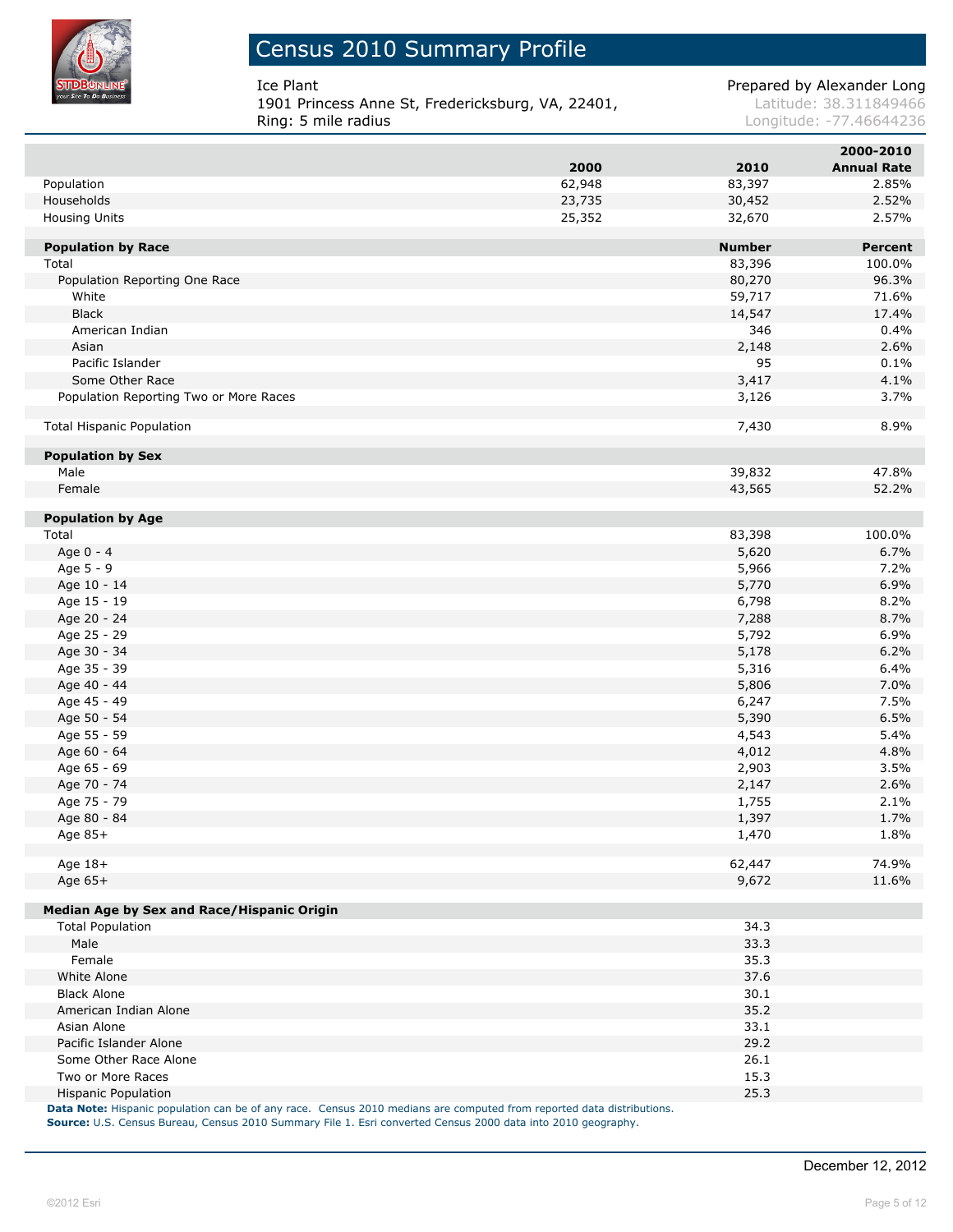

### Census 2010 Summary Profile

**1901 Princess Anne St, Fredericksburg, VA, 22401, Latitude: 38.311849466**<br>Ring: 5 mile radius **Ring: 5 mile radius** 

Ice Plant **Prepared by Alexander Long** 

Longitude: -77.46644236

|                                            |        |               | 2000-2010          |
|--------------------------------------------|--------|---------------|--------------------|
|                                            | 2000   | 2010          | <b>Annual Rate</b> |
| Population                                 | 62,948 | 83,397        | 2.85%              |
| Households                                 | 23,735 | 30,452        | 2.52%              |
| <b>Housing Units</b>                       | 25,352 | 32,670        | 2.57%              |
|                                            |        |               |                    |
| <b>Population by Race</b>                  |        | <b>Number</b> | <b>Percent</b>     |
| Total                                      |        | 83,396        | 100.0%             |
| Population Reporting One Race              |        | 80,270        | 96.3%              |
| White                                      |        | 59,717        | 71.6%              |
| <b>Black</b>                               |        | 14,547        | 17.4%              |
| American Indian                            |        | 346           | 0.4%               |
| Asian                                      |        | 2,148         | 2.6%               |
| Pacific Islander                           |        | 95            | 0.1%               |
| Some Other Race                            |        | 3,417         | 4.1%               |
| Population Reporting Two or More Races     |        | 3,126         | 3.7%               |
|                                            |        |               |                    |
| <b>Total Hispanic Population</b>           |        | 7,430         | 8.9%               |
| <b>Population by Sex</b>                   |        |               |                    |
| Male                                       |        | 39,832        | 47.8%              |
| Female                                     |        | 43,565        | 52.2%              |
|                                            |        |               |                    |
| <b>Population by Age</b>                   |        |               |                    |
| Total                                      |        | 83,398        | 100.0%             |
| Age 0 - 4                                  |        | 5,620         | 6.7%               |
| Age 5 - 9                                  |        | 5,966         | 7.2%               |
| Age 10 - 14                                |        | 5,770         | 6.9%               |
| Age 15 - 19                                |        | 6,798         | 8.2%               |
| Age 20 - 24                                |        | 7,288         | 8.7%               |
| Age 25 - 29                                |        | 5,792         | 6.9%               |
| Age 30 - 34                                |        | 5,178         | 6.2%               |
| Age 35 - 39                                |        | 5,316         | 6.4%               |
| Age 40 - 44                                |        | 5,806         | 7.0%               |
| Age 45 - 49                                |        | 6,247         | 7.5%               |
| Age 50 - 54                                |        | 5,390         | 6.5%               |
| Age 55 - 59                                |        | 4,543         | 5.4%               |
|                                            |        |               |                    |
| Age 60 - 64                                |        | 4,012         | 4.8%               |
| Age 65 - 69                                |        | 2,903         | 3.5%               |
| Age 70 - 74                                |        | 2,147         | 2.6%               |
| Age 75 - 79                                |        | 1,755         | 2.1%               |
| Age 80 - 84                                |        | 1,397         | 1.7%               |
| Age 85+                                    |        | 1,470         | 1.8%               |
| Age 18+                                    |        | 62,447        | 74.9%              |
| Age 65+                                    |        | 9,672         | 11.6%              |
|                                            |        |               |                    |
| Median Age by Sex and Race/Hispanic Origin |        |               |                    |
| <b>Total Population</b>                    |        | 34.3          |                    |
| Male                                       |        | 33.3          |                    |
| Female                                     |        | 35.3          |                    |
| White Alone                                |        | 37.6          |                    |
| <b>Black Alone</b>                         |        | 30.1          |                    |
| American Indian Alone                      |        | 35.2          |                    |
| Asian Alone                                |        | 33.1          |                    |
| Pacific Islander Alone                     |        | 29.2          |                    |
| Some Other Race Alone                      |        | 26.1          |                    |
| Two or More Races                          |        | 15.3          |                    |
| <b>Hispanic Population</b>                 |        | 25.3          |                    |

**Data Note:** Hispanic population can be of any race. Census 2010 medians are computed from reported data distributions. **Source:** U.S. Census Bureau, Census 2010 Summary File 1. Esri converted Census 2000 data into 2010 geography.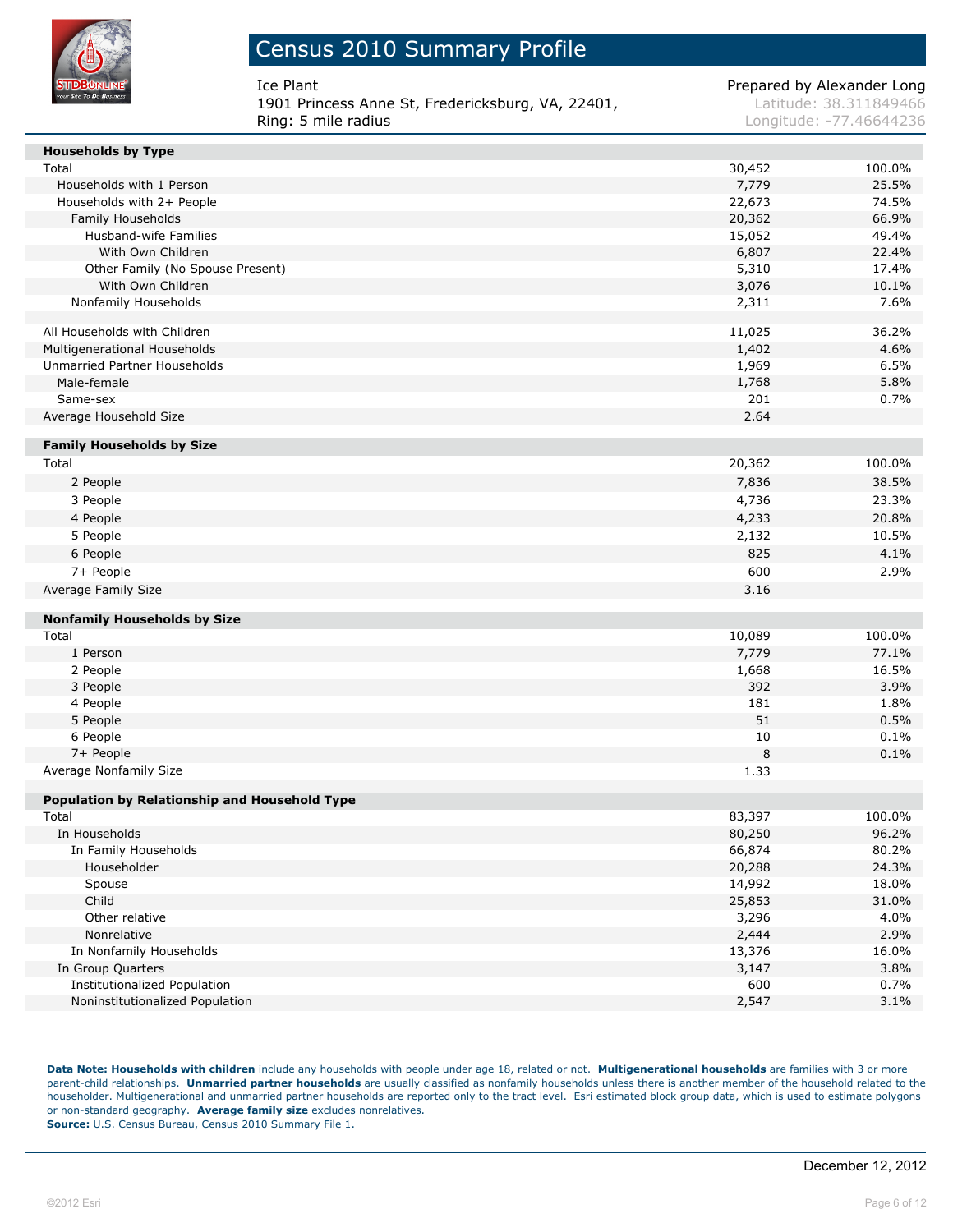

Ice Plant **Prepared by Alexander Long** 1901 Princess Anne St, Fredericksburg, VA, 22401, Latitude: 38.311849466 Ring: 5 mile radius and the contract of the contract of the contract of the contract of the contract of the contract of the contract of the contract of the contract of the contract of the contract of the contract of the co

| <b>Households by Type</b>                            |           |              |
|------------------------------------------------------|-----------|--------------|
| Total                                                | 30,452    | 100.0%       |
| Households with 1 Person                             | 7,779     | 25.5%        |
| Households with 2+ People                            | 22,673    | 74.5%        |
| Family Households                                    | 20,362    | 66.9%        |
| Husband-wife Families                                | 15,052    | 49.4%        |
| With Own Children                                    | 6,807     | 22.4%        |
| Other Family (No Spouse Present)                     | 5,310     | 17.4%        |
| With Own Children                                    | 3,076     | 10.1%        |
| Nonfamily Households                                 | 2,311     | 7.6%         |
| All Households with Children                         | 11,025    | 36.2%        |
| Multigenerational Households                         | 1,402     | 4.6%         |
| Unmarried Partner Households                         | 1,969     | 6.5%         |
| Male-female                                          | 1,768     | 5.8%         |
| Same-sex                                             | 201       | 0.7%         |
| Average Household Size                               | 2.64      |              |
| <b>Family Households by Size</b>                     |           |              |
| Total                                                | 20,362    | 100.0%       |
| 2 People                                             | 7,836     | 38.5%        |
| 3 People                                             | 4,736     | 23.3%        |
| 4 People                                             | 4,233     | 20.8%        |
| 5 People                                             | 2,132     | 10.5%        |
| 6 People                                             | 825       | 4.1%         |
| 7+ People                                            | 600       | 2.9%         |
| Average Family Size                                  | 3.16      |              |
|                                                      |           |              |
| <b>Nonfamily Households by Size</b>                  |           |              |
| Total                                                | 10,089    | 100.0%       |
| 1 Person                                             | 7,779     | 77.1%        |
| 2 People                                             | 1,668     | 16.5%        |
| 3 People                                             | 392       | 3.9%         |
| 4 People                                             | 181<br>51 | 1.8%         |
| 5 People                                             | 10        | 0.5%<br>0.1% |
| 6 People<br>7+ People                                | 8         | 0.1%         |
| Average Nonfamily Size                               | 1.33      |              |
|                                                      |           |              |
| <b>Population by Relationship and Household Type</b> |           |              |
| Total                                                | 83,397    | 100.0%       |
| In Households                                        | 80,250    | 96.2%        |
| In Family Households                                 | 66,874    | 80.2%        |
| Householder                                          | 20,288    | 24.3%        |
| Spouse                                               | 14,992    | 18.0%        |
| Child                                                | 25,853    | 31.0%        |
| Other relative                                       | 3,296     | 4.0%         |
| Nonrelative                                          | 2,444     | 2.9%         |
| In Nonfamily Households                              | 13,376    | 16.0%        |
| In Group Quarters                                    | 3,147     | 3.8%         |
| <b>Institutionalized Population</b>                  | 600       | 0.7%         |
| Noninstitutionalized Population                      | 2,547     | 3.1%         |

**Data Note: Households with children** include any households with people under age 18, related or not. **Multigenerational households** are families with 3 or more parent-child relationships. **Unmarried partner households** are usually classified as nonfamily households unless there is another member of the household related to the householder. Multigenerational and unmarried partner households are reported only to the tract level. Esri estimated block group data, which is used to estimate polygons or non-standard geography. **Average family size** excludes nonrelatives. **Source:** U.S. Census Bureau, Census 2010 Summary File 1.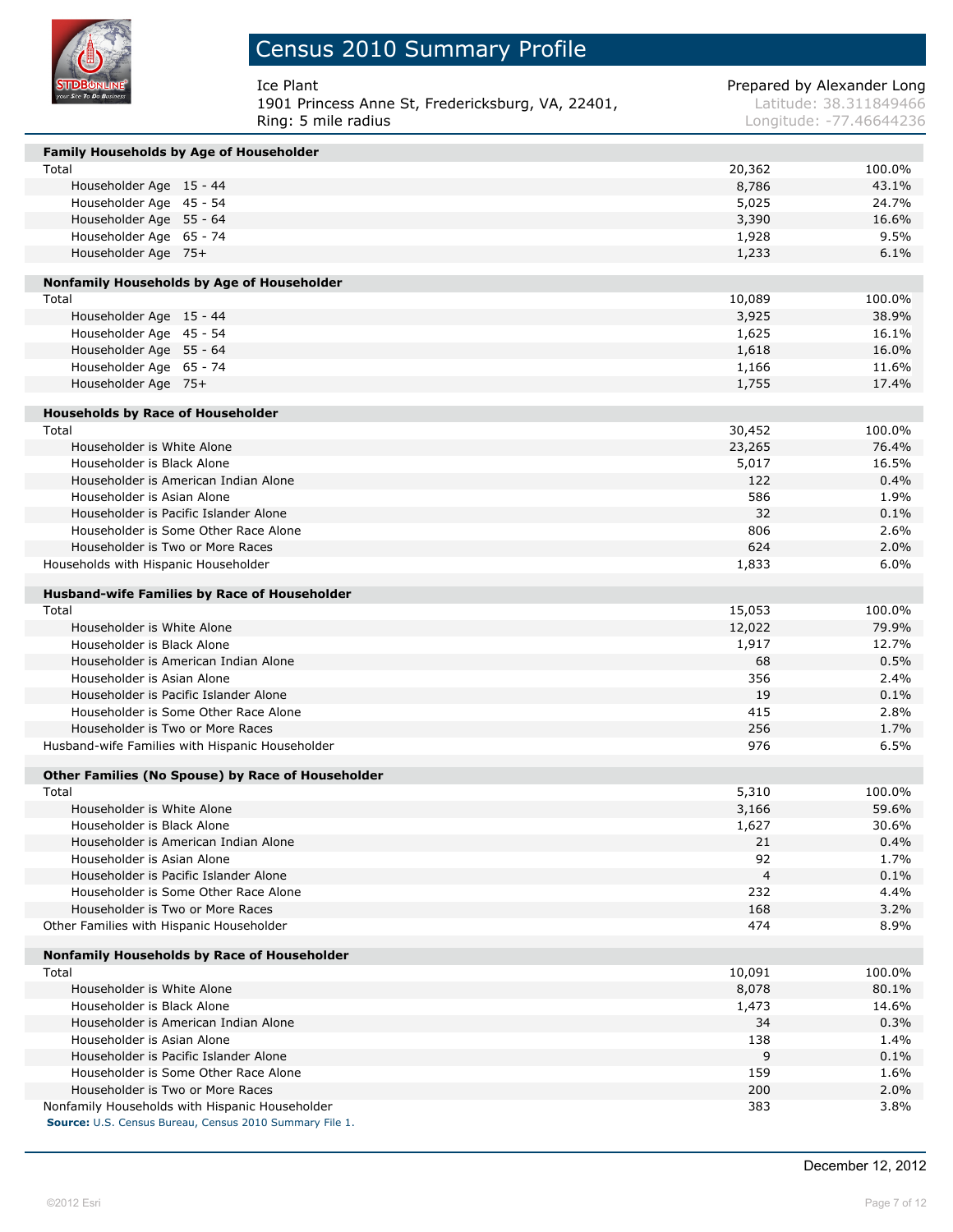

| Ice Plant                                         | Prepared by Alexander Long |
|---------------------------------------------------|----------------------------|
| 1901 Princess Anne St, Fredericksburg, VA, 22401, | Latitude: 38.311849466     |
| Ring: 5 mile radius                               | Longitude: -77.46644236    |

| Family Households by Age of Householder             |        |        |
|-----------------------------------------------------|--------|--------|
| Total                                               | 20,362 | 100.0% |
| Householder Age 15 - 44                             | 8,786  | 43.1%  |
| Householder Age 45 - 54                             | 5,025  | 24.7%  |
| Householder Age 55 - 64                             | 3,390  | 16.6%  |
| Householder Age 65 - 74                             | 1,928  | 9.5%   |
| Householder Age 75+                                 | 1,233  | 6.1%   |
|                                                     |        |        |
| Nonfamily Households by Age of Householder          | 10,089 | 100.0% |
| Total                                               |        |        |
| Householder Age 15 - 44                             | 3,925  | 38.9%  |
| Householder Age 45 - 54                             | 1,625  | 16.1%  |
| Householder Age 55 - 64                             | 1,618  | 16.0%  |
| Householder Age 65 - 74                             | 1,166  | 11.6%  |
| Householder Age 75+                                 | 1,755  | 17.4%  |
| <b>Households by Race of Householder</b>            |        |        |
| Total                                               | 30,452 | 100.0% |
| Householder is White Alone                          | 23,265 | 76.4%  |
| Householder is Black Alone                          | 5,017  | 16.5%  |
| Householder is American Indian Alone                | 122    | 0.4%   |
| Householder is Asian Alone                          | 586    | 1.9%   |
| Householder is Pacific Islander Alone               | 32     | 0.1%   |
| Householder is Some Other Race Alone                | 806    | 2.6%   |
| Householder is Two or More Races                    | 624    | 2.0%   |
| Households with Hispanic Householder                | 1,833  | 6.0%   |
|                                                     |        |        |
| <b>Husband-wife Families by Race of Householder</b> |        |        |
| Total                                               | 15,053 | 100.0% |
| Householder is White Alone                          | 12,022 | 79.9%  |
| Householder is Black Alone                          | 1,917  | 12.7%  |
| Householder is American Indian Alone                | 68     | 0.5%   |
| Householder is Asian Alone                          | 356    | 2.4%   |
| Householder is Pacific Islander Alone               | 19     | 0.1%   |
| Householder is Some Other Race Alone                | 415    | 2.8%   |
| Householder is Two or More Races                    | 256    | 1.7%   |
| Husband-wife Families with Hispanic Householder     | 976    | 6.5%   |
| Other Families (No Spouse) by Race of Householder   |        |        |
| Total                                               | 5,310  | 100.0% |
| Householder is White Alone                          | 3,166  | 59.6%  |
| Householder is Black Alone                          | 1,627  | 30.6%  |
| Householder is American Indian Alone                | 21     | 0.4%   |
| Householder is Asian Alone                          | 92     | 1.7%   |
| Householder is Pacific Islander Alone               | 4      | 0.1%   |
| Householder is Some Other Race Alone                | 232    | 4.4%   |
| Householder is Two or More Races                    | 168    | 3.2%   |
| Other Families with Hispanic Householder            | 474    | 8.9%   |
|                                                     |        |        |
| Nonfamily Households by Race of Householder         |        |        |
| Total                                               | 10,091 | 100.0% |
| Householder is White Alone                          | 8,078  | 80.1%  |
| Householder is Black Alone                          | 1,473  | 14.6%  |
| Householder is American Indian Alone                | 34     | 0.3%   |
| Householder is Asian Alone                          | 138    | 1.4%   |
| Householder is Pacific Islander Alone               | 9      | 0.1%   |
| Householder is Some Other Race Alone                | 159    | 1.6%   |
| Householder is Two or More Races                    | 200    | 2.0%   |
| Nonfamily Households with Hispanic Householder      | 383    | 3.8%   |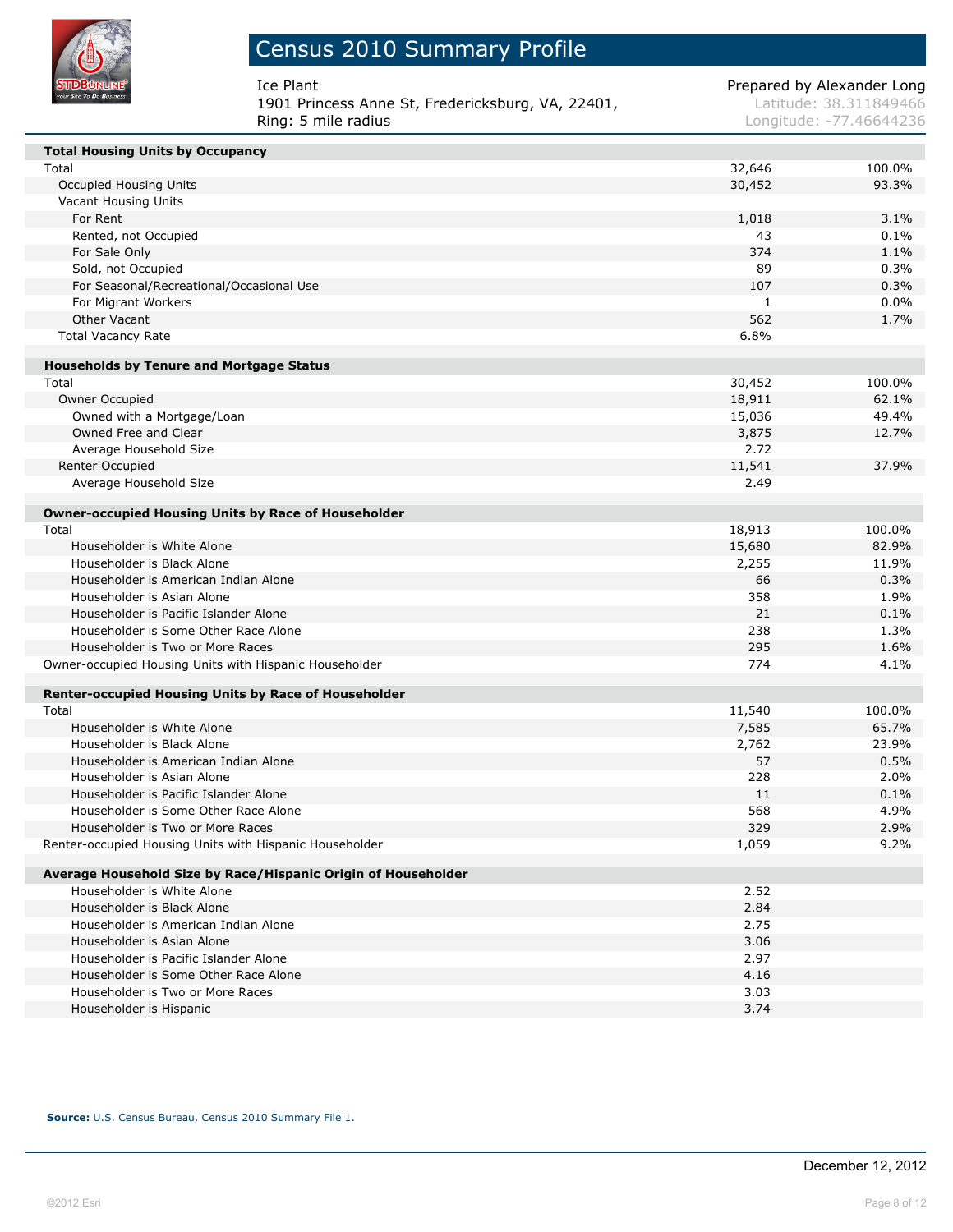

## Census 2010 Summary Profile

| Ice Plant                                         | Prepared by Alexander Long |
|---------------------------------------------------|----------------------------|
| 1901 Princess Anne St, Fredericksburg, VA, 22401, | Latitude: 38.311849466     |
| Rina: 5 mile radius                               | Longitude: -77.46644236    |

Latitude: 38.311849466 Longitude: -77.46644236

| <b>Total Housing Units by Occupancy</b>                       |        |         |
|---------------------------------------------------------------|--------|---------|
| Total                                                         | 32,646 | 100.0%  |
| Occupied Housing Units                                        | 30,452 | 93.3%   |
| Vacant Housing Units                                          |        |         |
| For Rent                                                      | 1,018  | 3.1%    |
| Rented, not Occupied                                          | 43     | 0.1%    |
| For Sale Only                                                 | 374    | 1.1%    |
| Sold, not Occupied                                            | 89     | 0.3%    |
| For Seasonal/Recreational/Occasional Use                      | 107    | 0.3%    |
| For Migrant Workers                                           | 1      | $0.0\%$ |
| Other Vacant                                                  | 562    | 1.7%    |
| <b>Total Vacancy Rate</b>                                     | 6.8%   |         |
| <b>Households by Tenure and Mortgage Status</b>               |        |         |
| Total                                                         | 30,452 | 100.0%  |
| Owner Occupied                                                | 18,911 | 62.1%   |
| Owned with a Mortgage/Loan                                    | 15,036 | 49.4%   |
| Owned Free and Clear                                          | 3,875  | 12.7%   |
| Average Household Size                                        | 2.72   |         |
| Renter Occupied                                               | 11,541 | 37.9%   |
| Average Household Size                                        | 2.49   |         |
|                                                               |        |         |
| <b>Owner-occupied Housing Units by Race of Householder</b>    |        |         |
| Total                                                         | 18,913 | 100.0%  |
| Householder is White Alone                                    | 15,680 | 82.9%   |
| Householder is Black Alone                                    | 2,255  | 11.9%   |
| Householder is American Indian Alone                          | 66     | 0.3%    |
| Householder is Asian Alone                                    | 358    | 1.9%    |
| Householder is Pacific Islander Alone                         | 21     | 0.1%    |
| Householder is Some Other Race Alone                          | 238    | 1.3%    |
| Householder is Two or More Races                              | 295    | 1.6%    |
| Owner-occupied Housing Units with Hispanic Householder        | 774    | 4.1%    |
| <b>Renter-occupied Housing Units by Race of Householder</b>   |        |         |
| Total                                                         | 11,540 | 100.0%  |
| Householder is White Alone                                    | 7,585  | 65.7%   |
| Householder is Black Alone                                    | 2,762  | 23.9%   |
| Householder is American Indian Alone                          | 57     | 0.5%    |
| Householder is Asian Alone                                    | 228    | 2.0%    |
| Householder is Pacific Islander Alone                         | 11     | 0.1%    |
| Householder is Some Other Race Alone                          | 568    | 4.9%    |
| Householder is Two or More Races                              | 329    | 2.9%    |
| Renter-occupied Housing Units with Hispanic Householder       | 1,059  | 9.2%    |
| Average Household Size by Race/Hispanic Origin of Householder |        |         |
| Householder is White Alone                                    | 2.52   |         |
| Householder is Black Alone                                    | 2.84   |         |
| Householder is American Indian Alone                          | 2.75   |         |
| Householder is Asian Alone                                    | 3.06   |         |
| Householder is Pacific Islander Alone                         | 2.97   |         |
| Householder is Some Other Race Alone                          | 4.16   |         |
| Householder is Two or More Races                              | 3.03   |         |
| Householder is Hispanic                                       | 3.74   |         |

**Source:** U.S. Census Bureau, Census 2010 Summary File 1.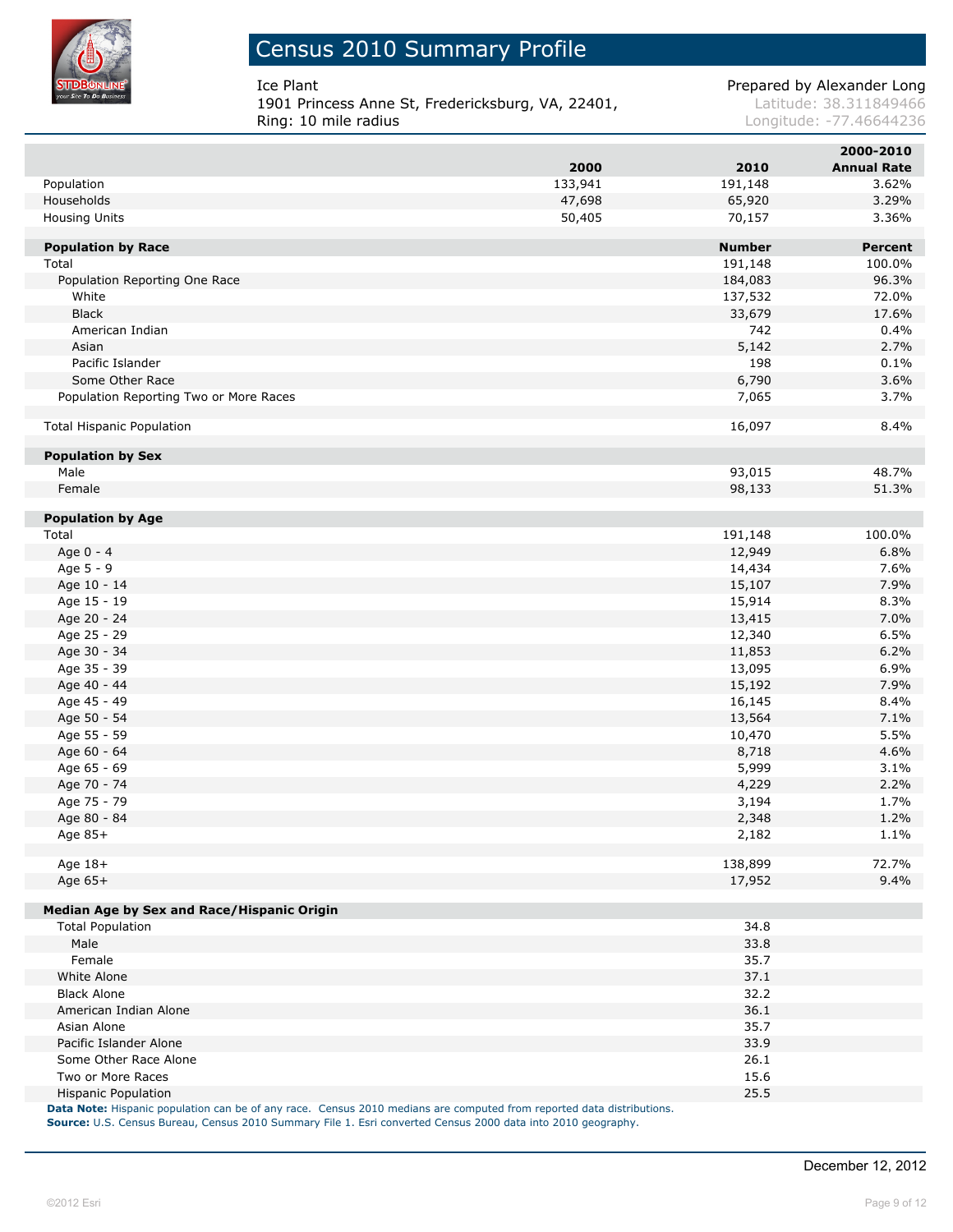

I

I

### Census 2010 Summary Profile

**1901 Princess Anne St, Fredericksburg, VA, 22401, Latitude: 38.311849466**<br>Ring: 10 mile radius<br>Longitude: -77.46644236

Ice Plant **Prepared by Alexander Long** 

Longitude: -77.46644236

|                                            |         |                  | 2000-2010          |
|--------------------------------------------|---------|------------------|--------------------|
|                                            | 2000    | 2010             | <b>Annual Rate</b> |
| Population                                 | 133,941 | 191,148          | 3.62%              |
| Households                                 | 47,698  | 65,920           | 3.29%              |
| Housing Units                              | 50,405  | 70,157           | 3.36%              |
|                                            |         |                  |                    |
| <b>Population by Race</b>                  |         | <b>Number</b>    | <b>Percent</b>     |
| Total                                      |         | 191,148          | 100.0%             |
| Population Reporting One Race              |         | 184,083          | 96.3%              |
| White                                      |         | 137,532          | 72.0%              |
| <b>Black</b>                               |         | 33,679           | 17.6%              |
| American Indian                            |         | 742              | 0.4%               |
| Asian                                      |         | 5,142            | 2.7%               |
| Pacific Islander                           |         | 198              | 0.1%               |
| Some Other Race                            |         | 6,790            | 3.6%               |
| Population Reporting Two or More Races     |         | 7,065            | 3.7%               |
| <b>Total Hispanic Population</b>           |         | 16,097           | 8.4%               |
|                                            |         |                  |                    |
| <b>Population by Sex</b><br>Male           |         | 93,015           | 48.7%              |
|                                            |         | 98,133           | 51.3%              |
| Female                                     |         |                  |                    |
| <b>Population by Age</b>                   |         |                  |                    |
| Total                                      |         | 191,148          | 100.0%             |
| Age 0 - 4                                  |         | 12,949           | 6.8%               |
| Age 5 - 9                                  |         | 14,434           | 7.6%               |
| Age 10 - 14                                |         | 15,107           | 7.9%               |
| Age 15 - 19                                |         | 15,914           | 8.3%               |
| Age 20 - 24                                |         | 13,415           | 7.0%               |
| Age 25 - 29                                |         | 12,340           | 6.5%               |
| Age 30 - 34                                |         | 11,853           | 6.2%               |
| Age 35 - 39                                |         |                  |                    |
| Age 40 - 44                                |         | 13,095<br>15,192 | 6.9%<br>7.9%       |
| Age 45 - 49                                |         | 16,145           | 8.4%               |
|                                            |         |                  | 7.1%               |
| Age 50 - 54                                |         | 13,564           |                    |
| Age 55 - 59                                |         | 10,470           | 5.5%               |
| Age 60 - 64                                |         | 8,718            | 4.6%               |
| Age 65 - 69                                |         | 5,999            | 3.1%               |
| Age 70 - 74                                |         | 4,229            | 2.2%               |
| Age 75 - 79                                |         | 3,194            | 1.7%               |
| Age 80 - 84                                |         | 2,348            | 1.2%               |
| Age 85+                                    |         | 2,182            | 1.1%               |
| Age 18+                                    |         | 138,899          | 72.7%              |
| Age 65+                                    |         | 17,952           | 9.4%               |
|                                            |         |                  |                    |
| Median Age by Sex and Race/Hispanic Origin |         |                  |                    |
| <b>Total Population</b>                    |         | 34.8             |                    |
| Male                                       |         | 33.8             |                    |
| Female                                     |         | 35.7             |                    |
| White Alone                                |         | 37.1             |                    |
| <b>Black Alone</b>                         |         | 32.2             |                    |
| American Indian Alone                      |         | 36.1             |                    |
| Asian Alone                                |         | 35.7             |                    |
| Pacific Islander Alone                     |         | 33.9             |                    |
| Some Other Race Alone                      |         | 26.1             |                    |
| Two or More Races                          |         | 15.6             |                    |
| <b>Hispanic Population</b>                 |         | 25.5             |                    |
|                                            |         |                  |                    |

**Data Note:** Hispanic population can be of any race. Census 2010 medians are computed from reported data distributions. **Source:** U.S. Census Bureau, Census 2010 Summary File 1. Esri converted Census 2000 data into 2010 geography.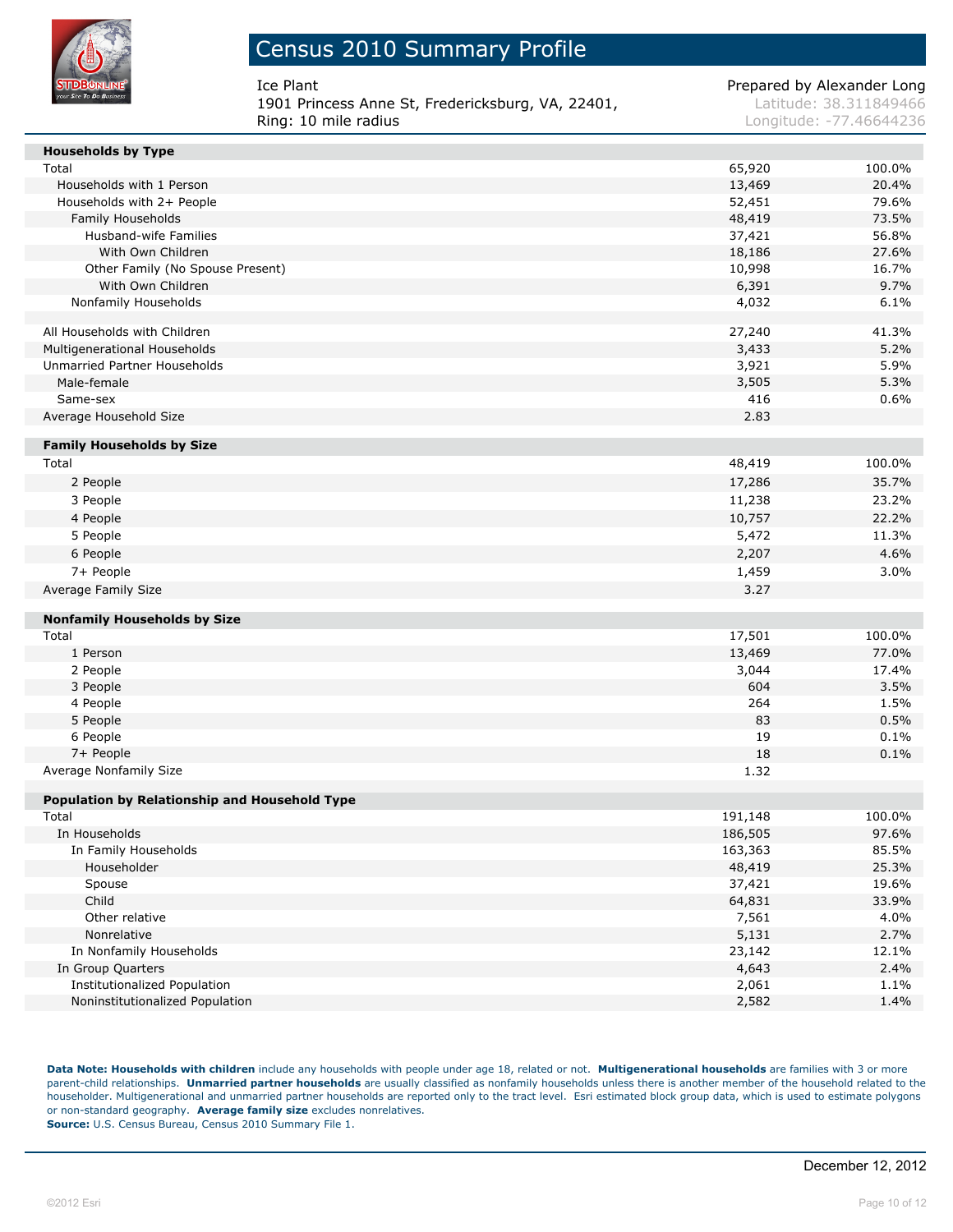

Ice Plant **Prepared by Alexander Long** 1901 Princess Anne St, Fredericksburg, VA, 22401, Latitude: 38.311849466 Ring: 10 mile radius **Longitude: 177.46644236** 

| <b>Households by Type</b>                     |         |        |
|-----------------------------------------------|---------|--------|
| Total                                         | 65,920  | 100.0% |
| Households with 1 Person                      | 13,469  | 20.4%  |
| Households with 2+ People                     | 52,451  | 79.6%  |
| Family Households                             | 48,419  | 73.5%  |
| Husband-wife Families                         | 37,421  | 56.8%  |
| With Own Children                             | 18,186  | 27.6%  |
| Other Family (No Spouse Present)              | 10,998  | 16.7%  |
| With Own Children                             | 6,391   | 9.7%   |
| Nonfamily Households                          | 4,032   | 6.1%   |
| All Households with Children                  | 27,240  | 41.3%  |
| Multigenerational Households                  | 3,433   | 5.2%   |
| Unmarried Partner Households                  | 3,921   | 5.9%   |
| Male-female                                   | 3,505   | 5.3%   |
| Same-sex                                      | 416     | 0.6%   |
| Average Household Size                        | 2.83    |        |
| <b>Family Households by Size</b>              |         |        |
| Total                                         | 48,419  | 100.0% |
| 2 People                                      | 17,286  | 35.7%  |
| 3 People                                      | 11,238  | 23.2%  |
| 4 People                                      | 10,757  | 22.2%  |
| 5 People                                      | 5,472   | 11.3%  |
| 6 People                                      | 2,207   | 4.6%   |
| 7+ People                                     | 1,459   | 3.0%   |
| Average Family Size                           | 3.27    |        |
| <b>Nonfamily Households by Size</b>           |         |        |
| Total                                         | 17,501  | 100.0% |
| 1 Person                                      | 13,469  | 77.0%  |
| 2 People                                      | 3,044   | 17.4%  |
| 3 People                                      | 604     | 3.5%   |
| 4 People                                      | 264     | 1.5%   |
| 5 People                                      | 83      | 0.5%   |
| 6 People                                      | 19      | 0.1%   |
| 7+ People                                     | 18      | 0.1%   |
| Average Nonfamily Size                        | 1.32    |        |
| Population by Relationship and Household Type |         |        |
| Total                                         | 191,148 | 100.0% |
| In Households                                 | 186,505 | 97.6%  |
| In Family Households                          | 163,363 | 85.5%  |
| Householder                                   | 48,419  | 25.3%  |
| Spouse                                        | 37,421  | 19.6%  |
| Child                                         | 64,831  | 33.9%  |
| Other relative                                | 7,561   | 4.0%   |
| Nonrelative                                   | 5,131   | 2.7%   |
| In Nonfamily Households                       | 23,142  | 12.1%  |
| In Group Quarters                             | 4,643   | 2.4%   |
| <b>Institutionalized Population</b>           | 2,061   | 1.1%   |
| Noninstitutionalized Population               | 2,582   | 1.4%   |

**Data Note: Households with children** include any households with people under age 18, related or not. **Multigenerational households** are families with 3 or more parent-child relationships. **Unmarried partner households** are usually classified as nonfamily households unless there is another member of the household related to the householder. Multigenerational and unmarried partner households are reported only to the tract level. Esri estimated block group data, which is used to estimate polygons or non-standard geography. **Average family size** excludes nonrelatives. **Source:** U.S. Census Bureau, Census 2010 Summary File 1.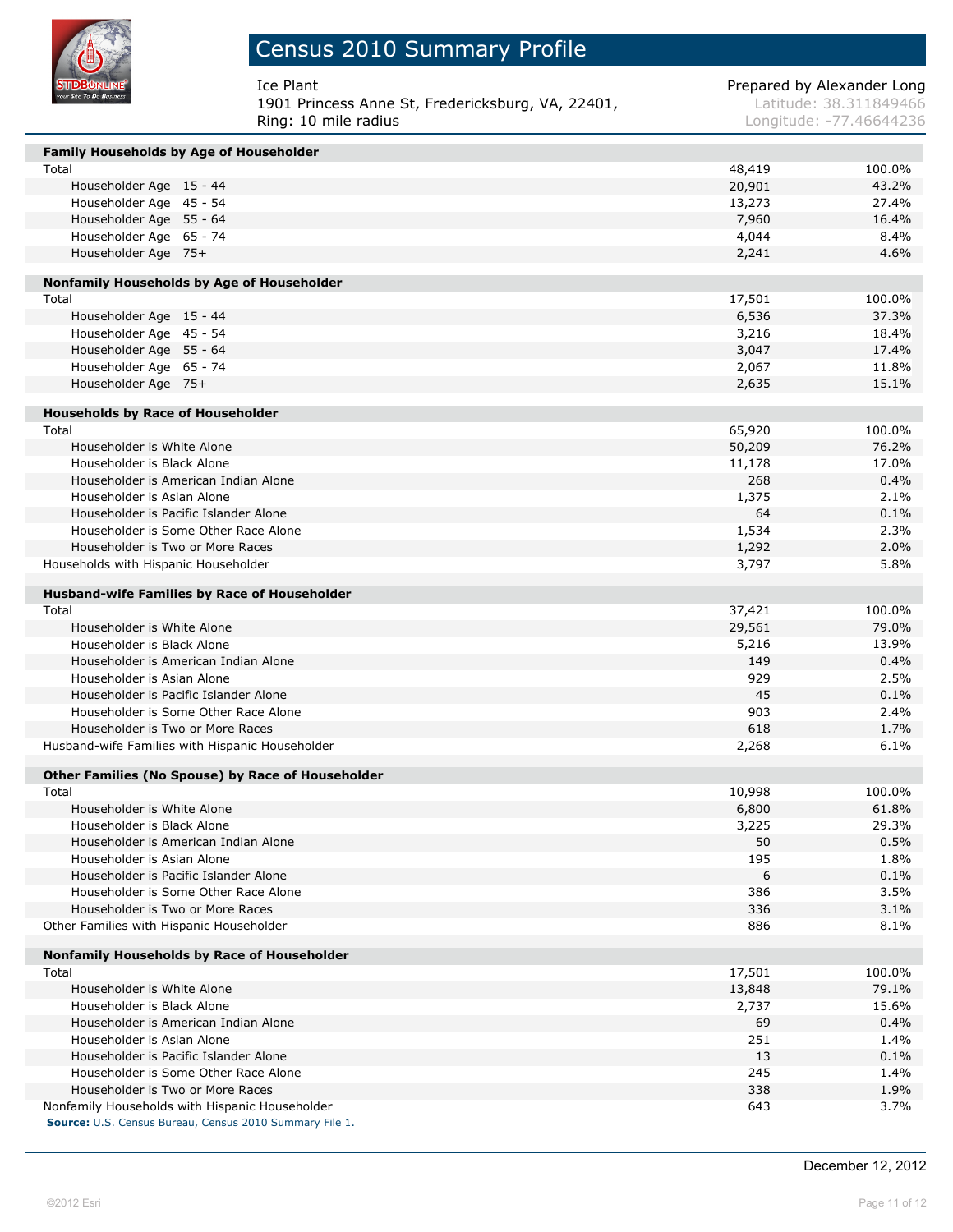

# Census 2010 Summary Profile

| Ice Plant                                         | Prepared by Alexander Long |
|---------------------------------------------------|----------------------------|
| 1901 Princess Anne St, Fredericksburg, VA, 22401, | Latitude: 38.311849466     |
| Ring: 10 mile radius                              | Longitude: -77.46644236    |

| Family Households by Age of Householder             |        |        |
|-----------------------------------------------------|--------|--------|
| Total                                               | 48,419 | 100.0% |
| Householder Age 15 - 44                             | 20,901 | 43.2%  |
| Householder Age 45 - 54                             | 13,273 | 27.4%  |
| Householder Age 55 - 64                             | 7,960  | 16.4%  |
| Householder Age 65 - 74                             | 4,044  | 8.4%   |
| Householder Age 75+                                 | 2,241  | 4.6%   |
|                                                     |        |        |
| Nonfamily Households by Age of Householder          |        |        |
| Total                                               | 17,501 | 100.0% |
| Householder Age 15 - 44                             | 6,536  | 37.3%  |
| Householder Age 45 - 54                             | 3,216  | 18.4%  |
| Householder Age 55 - 64                             | 3,047  | 17.4%  |
| Householder Age 65 - 74                             | 2,067  | 11.8%  |
| Householder Age 75+                                 | 2,635  | 15.1%  |
| <b>Households by Race of Householder</b>            |        |        |
| Total                                               | 65,920 | 100.0% |
| Householder is White Alone                          | 50,209 | 76.2%  |
| Householder is Black Alone                          | 11,178 | 17.0%  |
| Householder is American Indian Alone                | 268    | 0.4%   |
| Householder is Asian Alone                          | 1,375  | 2.1%   |
| Householder is Pacific Islander Alone               | 64     | 0.1%   |
| Householder is Some Other Race Alone                | 1,534  | 2.3%   |
| Householder is Two or More Races                    | 1,292  | 2.0%   |
| Households with Hispanic Householder                | 3,797  | 5.8%   |
|                                                     |        |        |
| <b>Husband-wife Families by Race of Householder</b> |        |        |
| Total                                               | 37,421 | 100.0% |
| Householder is White Alone                          | 29,561 | 79.0%  |
| Householder is Black Alone                          | 5,216  | 13.9%  |
| Householder is American Indian Alone                | 149    | 0.4%   |
| Householder is Asian Alone                          | 929    | 2.5%   |
| Householder is Pacific Islander Alone               | 45     | 0.1%   |
| Householder is Some Other Race Alone                | 903    | 2.4%   |
| Householder is Two or More Races                    | 618    | 1.7%   |
| Husband-wife Families with Hispanic Householder     | 2,268  | 6.1%   |
| Other Families (No Spouse) by Race of Householder   |        |        |
| Total                                               | 10,998 | 100.0% |
| Householder is White Alone                          | 6,800  | 61.8%  |
| Householder is Black Alone                          | 3,225  | 29.3%  |
| Householder is American Indian Alone                | 50     | 0.5%   |
| Householder is Asian Alone                          | 195    | 1.8%   |
| Householder is Pacific Islander Alone               | 6      | 0.1%   |
| Householder is Some Other Race Alone                | 386    | 3.5%   |
| Householder is Two or More Races                    | 336    | 3.1%   |
| Other Families with Hispanic Householder            | 886    | 8.1%   |
|                                                     |        |        |
| Nonfamily Households by Race of Householder         |        |        |
| Total                                               | 17,501 | 100.0% |
| Householder is White Alone                          | 13,848 | 79.1%  |
| Householder is Black Alone                          | 2,737  | 15.6%  |
| Householder is American Indian Alone                | 69     | 0.4%   |
| Householder is Asian Alone                          | 251    | 1.4%   |
| Householder is Pacific Islander Alone               | 13     | 0.1%   |
| Householder is Some Other Race Alone                | 245    | 1.4%   |
| Householder is Two or More Races                    | 338    | 1.9%   |
| Nonfamily Households with Hispanic Householder      | 643    | 3.7%   |